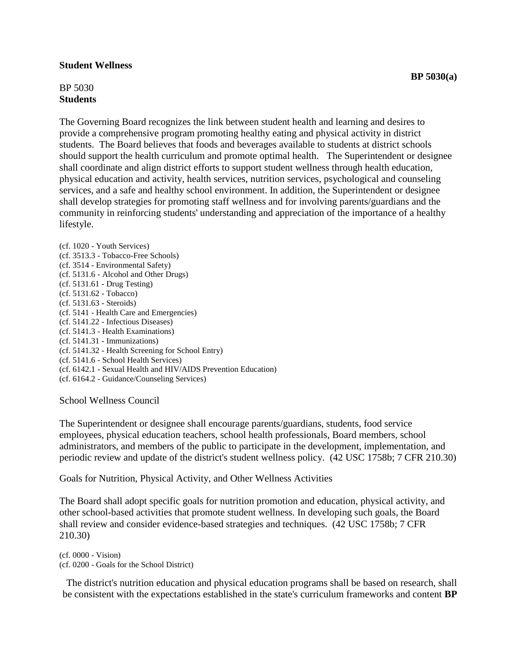## **Student Wellness**

# BP 5030 **Students**

The Governing Board recognizes the link between student health and learning and desires to provide a comprehensive program promoting healthy eating and physical activity in district students. The Board believes that foods and beverages available to students at district schools should support the health curriculum and promote optimal health. The Superintendent or designee shall coordinate and align district efforts to support student wellness through health education, physical education and activity, health services, nutrition services, psychological and counseling services, and a safe and healthy school environment. In addition, the Superintendent or designee shall develop strategies for promoting staff wellness and for involving parents/guardians and the community in reinforcing students' understanding and appreciation of the importance of a healthy lifestyle.

(cf. 1020 - Youth Services) (cf. 3513.3 - Tobacco-Free Schools) (cf. 3514 - Environmental Safety) (cf. 5131.6 - Alcohol and Other Drugs) (cf. 5131.61 - Drug Testing) (cf. 5131.62 - Tobacco) (cf. 5131.63 - Steroids) (cf. 5141 - Health Care and Emergencies) (cf. 5141.22 - Infectious Diseases) (cf. 5141.3 - Health Examinations) (cf. 5141.31 - Immunizations) (cf. 5141.32 - Health Screening for School Entry) (cf. 5141.6 - School Health Services) (cf. 6142.1 - Sexual Health and HIV/AIDS Prevention Education) (cf. 6164.2 - Guidance/Counseling Services)

School Wellness Council

The Superintendent or designee shall encourage parents/guardians, students, food service employees, physical education teachers, school health professionals, Board members, school administrators, and members of the public to participate in the development, implementation, and periodic review and update of the district's student wellness policy. (42 USC 1758b; 7 CFR 210.30)

Goals for Nutrition, Physical Activity, and Other Wellness Activities

The Board shall adopt specific goals for nutrition promotion and education, physical activity, and other school-based activities that promote student wellness. In developing such goals, the Board shall review and consider evidence-based strategies and techniques. (42 USC 1758b; 7 CFR 210.30)

(cf. 0000 - Vision) (cf. 0200 - Goals for the School District)

The district's nutrition education and physical education programs shall be based on research, shall be consistent with the expectations established in the state's curriculum frameworks and content **BP**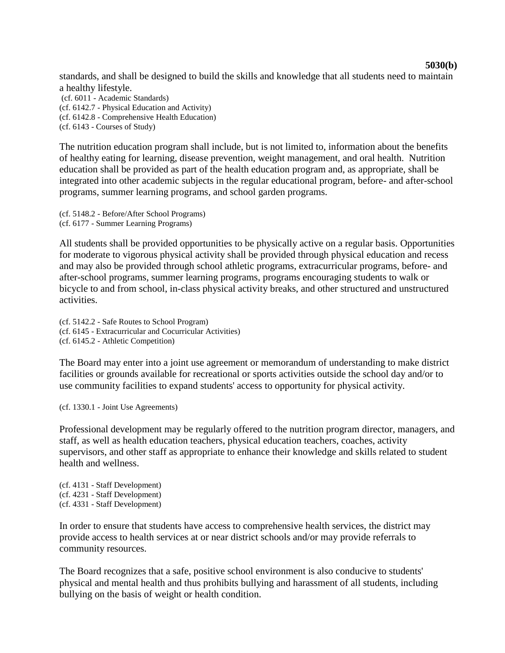**5030(b)**

standards, and shall be designed to build the skills and knowledge that all students need to maintain a healthy lifestyle.

(cf. 6011 - Academic Standards) (cf. 6142.7 - Physical Education and Activity) (cf. 6142.8 - Comprehensive Health Education) (cf. 6143 - Courses of Study)

The nutrition education program shall include, but is not limited to, information about the benefits of healthy eating for learning, disease prevention, weight management, and oral health. Nutrition education shall be provided as part of the health education program and, as appropriate, shall be integrated into other academic subjects in the regular educational program, before- and after-school programs, summer learning programs, and school garden programs.

(cf. 5148.2 - Before/After School Programs) (cf. 6177 - Summer Learning Programs)

All students shall be provided opportunities to be physically active on a regular basis. Opportunities for moderate to vigorous physical activity shall be provided through physical education and recess and may also be provided through school athletic programs, extracurricular programs, before- and after-school programs, summer learning programs, programs encouraging students to walk or bicycle to and from school, in-class physical activity breaks, and other structured and unstructured activities.

(cf. 5142.2 - Safe Routes to School Program) (cf. 6145 - Extracurricular and Cocurricular Activities) (cf. 6145.2 - Athletic Competition)

The Board may enter into a joint use agreement or memorandum of understanding to make district facilities or grounds available for recreational or sports activities outside the school day and/or to use community facilities to expand students' access to opportunity for physical activity.

(cf. 1330.1 - Joint Use Agreements)

Professional development may be regularly offered to the nutrition program director, managers, and staff, as well as health education teachers, physical education teachers, coaches, activity supervisors, and other staff as appropriate to enhance their knowledge and skills related to student health and wellness.

(cf. 4131 - Staff Development) (cf. 4231 - Staff Development) (cf. 4331 - Staff Development)

In order to ensure that students have access to comprehensive health services, the district may provide access to health services at or near district schools and/or may provide referrals to community resources.

The Board recognizes that a safe, positive school environment is also conducive to students' physical and mental health and thus prohibits bullying and harassment of all students, including bullying on the basis of weight or health condition.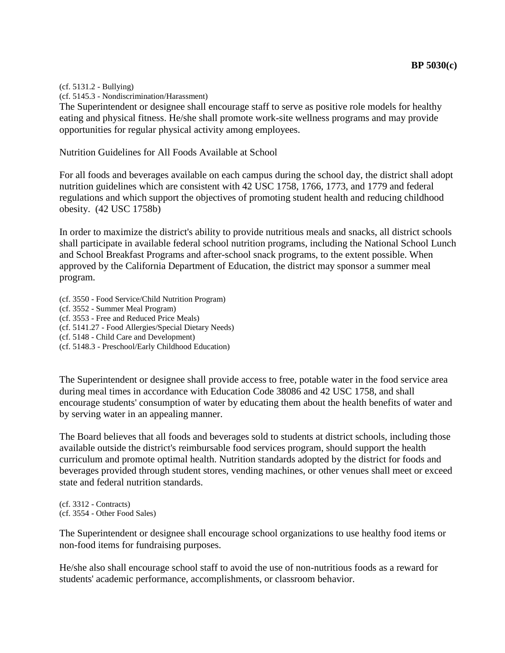(cf. 5131.2 - Bullying)

(cf. 5145.3 - Nondiscrimination/Harassment)

The Superintendent or designee shall encourage staff to serve as positive role models for healthy eating and physical fitness. He/she shall promote work-site wellness programs and may provide opportunities for regular physical activity among employees.

Nutrition Guidelines for All Foods Available at School

For all foods and beverages available on each campus during the school day, the district shall adopt nutrition guidelines which are consistent with 42 USC 1758, 1766, 1773, and 1779 and federal regulations and which support the objectives of promoting student health and reducing childhood obesity. (42 USC 1758b)

In order to maximize the district's ability to provide nutritious meals and snacks, all district schools shall participate in available federal school nutrition programs, including the National School Lunch and School Breakfast Programs and after-school snack programs, to the extent possible. When approved by the California Department of Education, the district may sponsor a summer meal program.

(cf. 3550 - Food Service/Child Nutrition Program)

(cf. 3552 - Summer Meal Program)

(cf. 3553 - Free and Reduced Price Meals)

(cf. 5141.27 - Food Allergies/Special Dietary Needs)

(cf. 5148 - Child Care and Development)

(cf. 5148.3 - Preschool/Early Childhood Education)

The Superintendent or designee shall provide access to free, potable water in the food service area during meal times in accordance with Education Code 38086 and 42 USC 1758, and shall encourage students' consumption of water by educating them about the health benefits of water and by serving water in an appealing manner.

The Board believes that all foods and beverages sold to students at district schools, including those available outside the district's reimbursable food services program, should support the health curriculum and promote optimal health. Nutrition standards adopted by the district for foods and beverages provided through student stores, vending machines, or other venues shall meet or exceed state and federal nutrition standards.

(cf. 3312 - Contracts) (cf. 3554 - Other Food Sales)

The Superintendent or designee shall encourage school organizations to use healthy food items or non-food items for fundraising purposes.

He/she also shall encourage school staff to avoid the use of non-nutritious foods as a reward for students' academic performance, accomplishments, or classroom behavior.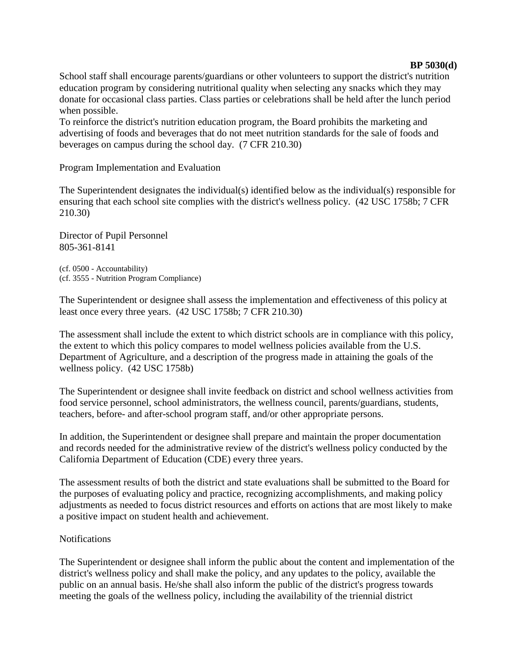## **BP 5030(d)**

School staff shall encourage parents/guardians or other volunteers to support the district's nutrition education program by considering nutritional quality when selecting any snacks which they may donate for occasional class parties. Class parties or celebrations shall be held after the lunch period when possible.

To reinforce the district's nutrition education program, the Board prohibits the marketing and advertising of foods and beverages that do not meet nutrition standards for the sale of foods and beverages on campus during the school day. (7 CFR 210.30)

Program Implementation and Evaluation

The Superintendent designates the individual(s) identified below as the individual(s) responsible for ensuring that each school site complies with the district's wellness policy. (42 USC 1758b; 7 CFR 210.30)

Director of Pupil Personnel 805-361-8141

(cf. 0500 - Accountability) (cf. 3555 - Nutrition Program Compliance)

The Superintendent or designee shall assess the implementation and effectiveness of this policy at least once every three years. (42 USC 1758b; 7 CFR 210.30)

The assessment shall include the extent to which district schools are in compliance with this policy, the extent to which this policy compares to model wellness policies available from the U.S. Department of Agriculture, and a description of the progress made in attaining the goals of the wellness policy. (42 USC 1758b)

The Superintendent or designee shall invite feedback on district and school wellness activities from food service personnel, school administrators, the wellness council, parents/guardians, students, teachers, before- and after-school program staff, and/or other appropriate persons.

In addition, the Superintendent or designee shall prepare and maintain the proper documentation and records needed for the administrative review of the district's wellness policy conducted by the California Department of Education (CDE) every three years.

The assessment results of both the district and state evaluations shall be submitted to the Board for the purposes of evaluating policy and practice, recognizing accomplishments, and making policy adjustments as needed to focus district resources and efforts on actions that are most likely to make a positive impact on student health and achievement.

# **Notifications**

The Superintendent or designee shall inform the public about the content and implementation of the district's wellness policy and shall make the policy, and any updates to the policy, available the public on an annual basis. He/she shall also inform the public of the district's progress towards meeting the goals of the wellness policy, including the availability of the triennial district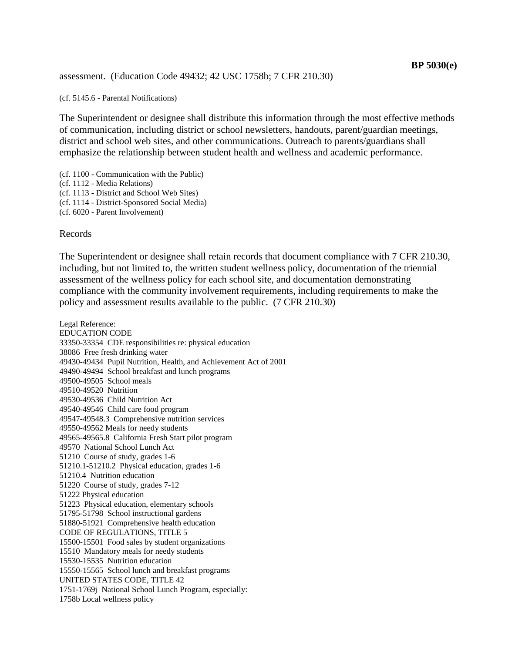### assessment. (Education Code 49432; 42 USC 1758b; 7 CFR 210.30)

#### (cf. 5145.6 - Parental Notifications)

The Superintendent or designee shall distribute this information through the most effective methods of communication, including district or school newsletters, handouts, parent/guardian meetings, district and school web sites, and other communications. Outreach to parents/guardians shall emphasize the relationship between student health and wellness and academic performance.

(cf. 1100 - Communication with the Public) (cf. 1112 - Media Relations) (cf. 1113 - District and School Web Sites) (cf. 1114 - District-Sponsored Social Media) (cf. 6020 - Parent Involvement)

#### Records

The Superintendent or designee shall retain records that document compliance with 7 CFR 210.30, including, but not limited to, the written student wellness policy, documentation of the triennial assessment of the wellness policy for each school site, and documentation demonstrating compliance with the community involvement requirements, including requirements to make the policy and assessment results available to the public. (7 CFR 210.30)

Legal Reference: EDUCATION CODE 33350-33354 CDE responsibilities re: physical education 38086 Free fresh drinking water 49430-49434 Pupil Nutrition, Health, and Achievement Act of 2001 49490-49494 School breakfast and lunch programs 49500-49505 School meals 49510-49520 Nutrition 49530-49536 Child Nutrition Act 49540-49546 Child care food program 49547-49548.3 Comprehensive nutrition services 49550-49562 Meals for needy students 49565-49565.8 California Fresh Start pilot program 49570 National School Lunch Act 51210 Course of study, grades 1-6 51210.1-51210.2 Physical education, grades 1-6 51210.4 Nutrition education 51220 Course of study, grades 7-12 51222 Physical education 51223 Physical education, elementary schools 51795-51798 School instructional gardens 51880-51921 Comprehensive health education CODE OF REGULATIONS, TITLE 5 15500-15501 Food sales by student organizations 15510 Mandatory meals for needy students 15530-15535 Nutrition education 15550-15565 School lunch and breakfast programs UNITED STATES CODE, TITLE 42 1751-1769j National School Lunch Program, especially: 1758b Local wellness policy